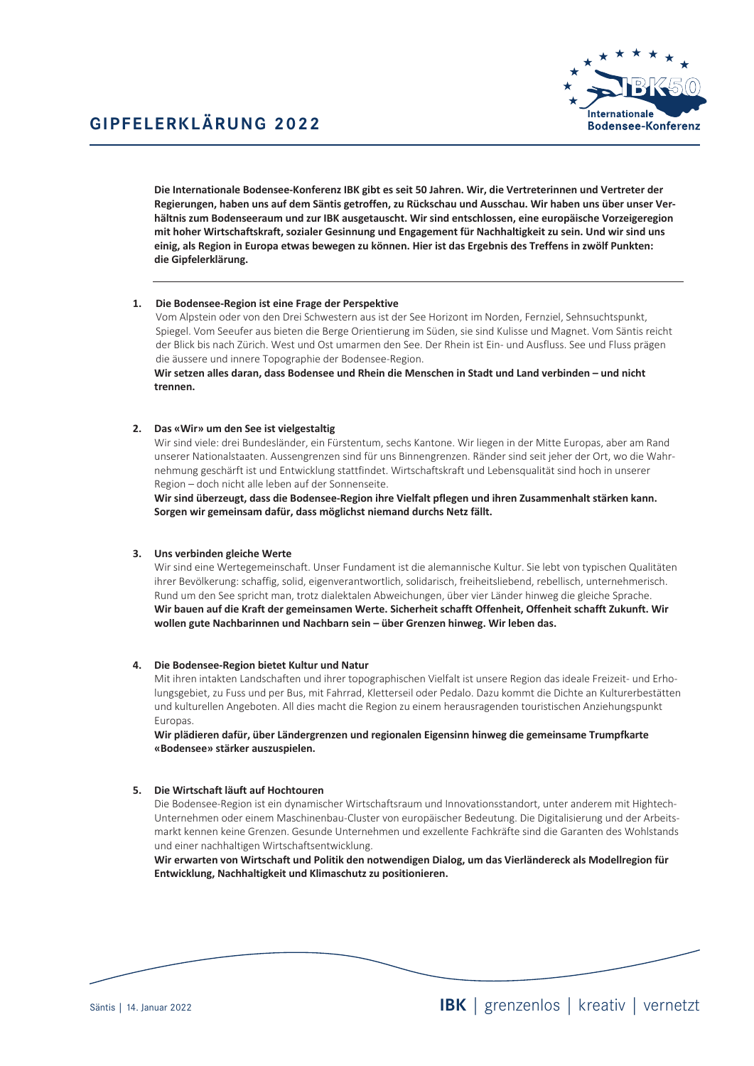

Die Internationale Bodensee-Konferenz IBK gibt es seit 50 Jahren. Wir, die Vertreterinnen und Vertreter der Regierungen, haben uns auf dem Säntis getroffen, zu Rückschau und Ausschau. Wir haben uns über unser Verhältnis zum Bodenseeraum und zur IBK ausgetauscht. Wir sind entschlossen, eine europäische Vorzeigeregion mit hoher Wirtschaftskraft, sozialer Gesinnung und Engagement für Nachhaltigkeit zu sein. Und wir sind uns einig, als Region in Europa etwas bewegen zu können. Hier ist das Ergebnis des Treffens in zwölf Punkten: die Gipfelerklärung.

## 1. Die Bodensee-Region ist eine Frage der Perspektive

Vom Alpstein oder von den Drei Schwestern aus ist der See Horizont im Norden, Fernziel, Sehnsuchtspunkt, Spiegel. Vom Seeufer aus bieten die Berge Orientierung im Süden, sie sind Kulisse und Magnet. Vom Säntis reicht der Blick bis nach Zürich. West und Ost umarmen den See. Der Rhein ist Ein- und Ausfluss. See und Fluss prägen die äussere und innere Topographie der Bodensee-Region.

Wir setzen alles daran, dass Bodensee und Rhein die Menschen in Stadt und Land verbinden - und nicht trennen

### 2. Das «Wir» um den See ist vielgestaltig

Wir sind viele: drei Bundesländer, ein Fürstentum, sechs Kantone. Wir liegen in der Mitte Europas, aber am Rand unserer Nationalstaaten. Aussengrenzen sind für uns Binnengrenzen. Ränder sind seit jeher der Ort, wo die Wahrnehmung geschärft ist und Entwicklung stattfindet. Wirtschaftskraft und Lebensqualität sind hoch in unserer Region - doch nicht alle leben auf der Sonnenseite.

Wir sind überzeugt, dass die Bodensee-Region ihre Vielfalt pflegen und ihren Zusammenhalt stärken kann. Sorgen wir gemeinsam dafür, dass möglichst niemand durchs Netz fällt.

## 3. Uns verbinden gleiche Werte

Wir sind eine Wertegemeinschaft. Unser Fundament ist die alemannische Kultur. Sie lebt von typischen Qualitäten ihrer Bevölkerung: schaffig, solid, eigenverantwortlich, solidarisch, freiheitsliebend, rebellisch, unternehmerisch. Rund um den See spricht man, trotz dialektalen Abweichungen, über vier Länder hinweg die gleiche Sprache. Wir bauen auf die Kraft der gemeinsamen Werte. Sicherheit schafft Offenheit, Offenheit schafft Zukunft. Wir wollen gute Nachbarinnen und Nachbarn sein - über Grenzen hinweg. Wir leben das.

### 4. Die Bodensee-Region bietet Kultur und Natur

Mit ihren intakten Landschaften und ihrer topographischen Vielfalt ist unsere Region das ideale Freizeit- und Erholungsgebiet, zu Fuss und per Bus, mit Fahrrad, Kletterseil oder Pedalo. Dazu kommt die Dichte an Kulturerbestätten und kulturellen Angeboten. All dies macht die Region zu einem herausragenden touristischen Anziehungspunkt Europas

Wir plädieren dafür, über Ländergrenzen und regionalen Eigensinn hinweg die gemeinsame Trumpfkarte «Bodensee» stärker auszuspielen.

### 5. Die Wirtschaft läuft auf Hochtouren

Die Bodensee-Region ist ein dynamischer Wirtschaftsraum und Innovationsstandort, unter anderem mit Hightech-Unternehmen oder einem Maschinenbau-Cluster von europäischer Bedeutung. Die Digitalisierung und der Arbeitsmarkt kennen keine Grenzen. Gesunde Unternehmen und exzellente Fachkräfte sind die Garanten des Wohlstands und einer nachhaltigen Wirtschaftsentwicklung.

Wir erwarten von Wirtschaft und Politik den notwendigen Dialog, um das Vierländereck als Modellregion für Entwicklung, Nachhaltigkeit und Klimaschutz zu positionieren.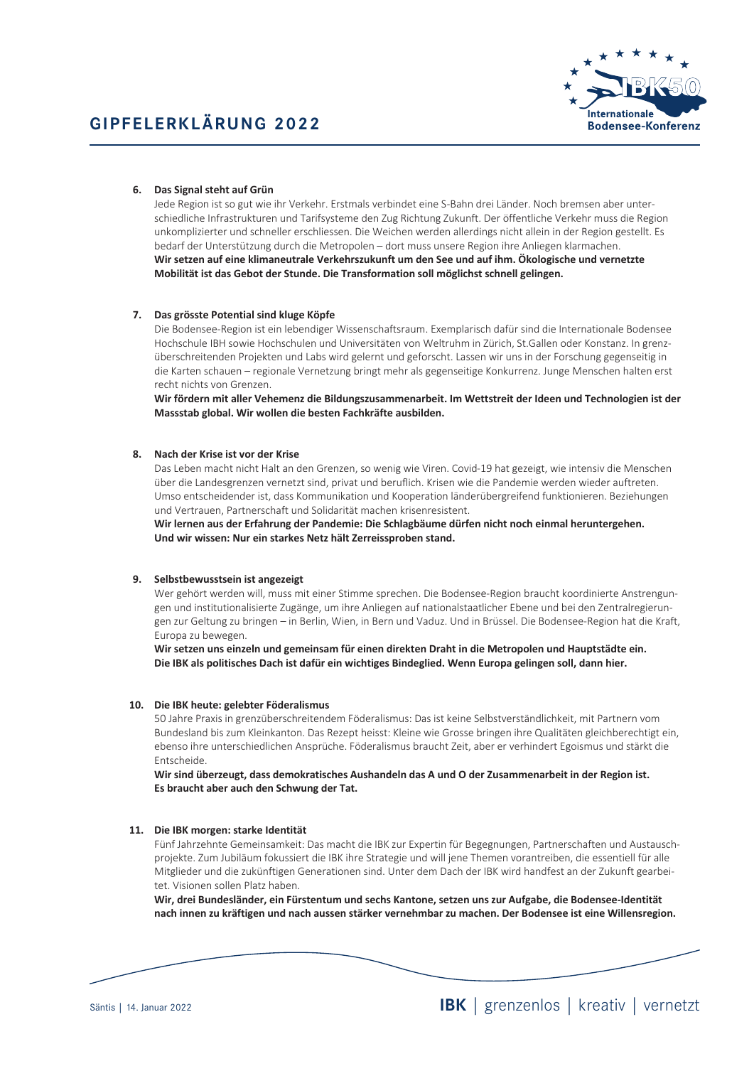

# 6. Das Signal steht auf Grün

Jede Region ist so gut wie ihr Verkehr. Erstmals verbindet eine S-Bahn drei Länder. Noch bremsen aber unterschiedliche Infrastrukturen und Tarifsysteme den Zug Richtung Zukunft. Der öffentliche Verkehr muss die Region unkomplizierter und schneller erschliessen. Die Weichen werden allerdings nicht allein in der Region gestellt. Es bedarf der Unterstützung durch die Metropolen - dort muss unsere Region ihre Anliegen klarmachen. Wir setzen auf eine klimaneutrale Verkehrszukunft um den See und auf ihm. Ökologische und vernetzte Mobilität ist das Gebot der Stunde. Die Transformation soll möglichst schnell gelingen.

# 7. Das grösste Potential sind kluge Köpfe

Die Bodensee-Region ist ein lebendiger Wissenschaftsraum. Exemplarisch dafür sind die Internationale Bodensee Hochschule IBH sowie Hochschulen und Universitäten von Weltruhm in Zürich, St.Gallen oder Konstanz. In grenzüberschreitenden Projekten und Labs wird gelernt und geforscht. Lassen wir uns in der Forschung gegenseitig in die Karten schauen - regionale Vernetzung bringt mehr als gegenseitige Konkurrenz. Junge Menschen halten erst recht nichts von Grenzen.

Wir fördern mit aller Vehemenz die Bildungszusammenarbeit. Im Wettstreit der Ideen und Technologien ist der Massstab global. Wir wollen die besten Fachkräfte ausbilden.

## 8. Nach der Krise ist vor der Krise

Das Leben macht nicht Halt an den Grenzen, so wenig wie Viren. Covid-19 hat gezeigt, wie intensiv die Menschen über die Landesgrenzen vernetzt sind, privat und beruflich. Krisen wie die Pandemie werden wieder auftreten. Umso entscheidender ist, dass Kommunikation und Kooperation länderübergreifend funktionieren. Beziehungen und Vertrauen, Partnerschaft und Solidarität machen krisenresistent.

Wir lernen aus der Erfahrung der Pandemie: Die Schlagbäume dürfen nicht noch einmal heruntergehen. Und wir wissen: Nur ein starkes Netz hält Zerreissproben stand.

## 9. Selbstbewusstsein ist angezeigt

Wer gehört werden will, muss mit einer Stimme sprechen. Die Bodensee-Region braucht koordinierte Anstrengungen und institutionalisierte Zugänge, um ihre Anliegen auf nationalstaatlicher Ebene und bei den Zentralregierungen zur Geltung zu bringen - in Berlin, Wien, in Bern und Vaduz. Und in Brüssel. Die Bodensee-Region hat die Kraft, Europa zu bewegen.

Wir setzen uns einzeln und gemeinsam für einen direkten Draht in die Metropolen und Hauptstädte ein. Die IBK als politisches Dach ist dafür ein wichtiges Bindeglied. Wenn Europa gelingen soll, dann hier.

### 10. Die IBK heute: gelebter Föderalismus

50 Jahre Praxis in grenzüberschreitendem Föderalismus: Das ist keine Selbstverständlichkeit, mit Partnern vom Bundesland bis zum Kleinkanton. Das Rezept heisst: Kleine wie Grosse bringen ihre Qualitäten gleichberechtigt ein, ebenso ihre unterschiedlichen Ansprüche. Föderalismus braucht Zeit, aber er verhindert Egoismus und stärkt die Entscheide

Wir sind überzeugt, dass demokratisches Aushandeln das A und O der Zusammenarbeit in der Region ist. Es braucht aber auch den Schwung der Tat.

## 11. Die IBK morgen: starke Identität

Fünf Jahrzehnte Gemeinsamkeit: Das macht die IBK zur Expertin für Begegnungen, Partnerschaften und Austauschprojekte. Zum Jubiläum fokussiert die IBK ihre Strategie und will jene Themen vorantreiben, die essentiell für alle Mitglieder und die zukünftigen Generationen sind. Unter dem Dach der IBK wird handfest an der Zukunft gearbeitet. Visionen sollen Platz haben.

Wir, drei Bundesländer, ein Fürstentum und sechs Kantone, setzen uns zur Aufgabe, die Bodensee-Identität nach innen zu kräftigen und nach aussen stärker vernehmbar zu machen. Der Bodensee ist eine Willensregion.